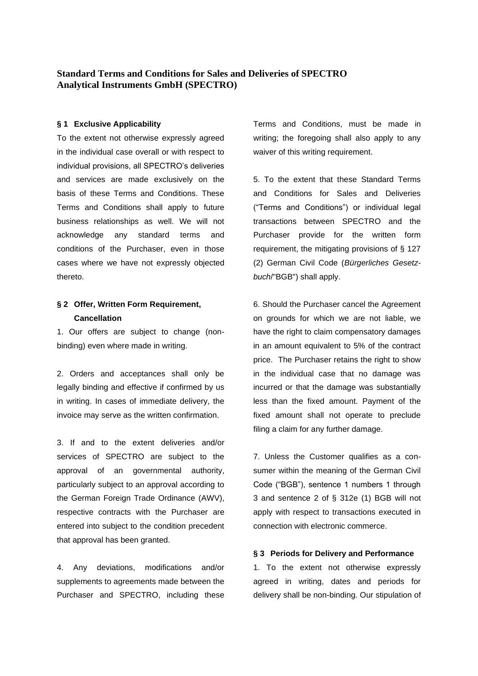## **Standard Terms and Conditions for Sales and Deliveries of SPECTRO Analytical Instruments GmbH (SPECTRO)**

## **§ 1 Exclusive Applicability**

To the extent not otherwise expressly agreed in the individual case overall or with respect to individual provisions, all SPECTRO's deliveries and services are made exclusively on the basis of these Terms and Conditions. These Terms and Conditions shall apply to future business relationships as well. We will not acknowledge any standard terms and conditions of the Purchaser, even in those cases where we have not expressly objected thereto.

# **§ 2 Offer, Written Form Requirement, Cancellation**

1. Our offers are subject to change (nonbinding) even where made in writing.

2. Orders and acceptances shall only be legally binding and effective if confirmed by us in writing. In cases of immediate delivery, the invoice may serve as the written confirmation.

3. If and to the extent deliveries and/or services of SPECTRO are subject to the approval of an governmental authority, particularly subject to an approval according to the German Foreign Trade Ordinance (AWV), respective contracts with the Purchaser are entered into subject to the condition precedent that approval has been granted.

4. Any deviations, modifications and/or supplements to agreements made between the Purchaser and SPECTRO, including these Terms and Conditions, must be made in writing; the foregoing shall also apply to any waiver of this writing requirement.

5. To the extent that these Standard Terms and Conditions for Sales and Deliveries ("Terms and Conditions") or individual legal transactions between SPECTRO and the Purchaser provide for the written form requirement, the mitigating provisions of § 127 (2) German Civil Code (*Bürgerliches Gesetzbuch*/"BGB") shall apply.

6. Should the Purchaser cancel the Agreement on grounds for which we are not liable, we have the right to claim compensatory damages in an amount equivalent to 5% of the contract price. The Purchaser retains the right to show in the individual case that no damage was incurred or that the damage was substantially less than the fixed amount. Payment of the fixed amount shall not operate to preclude filing a claim for any further damage.

7. Unless the Customer qualifies as a consumer within the meaning of the German Civil Code ("BGB"), sentence 1 numbers 1 through 3 and sentence 2 of § 312e (1) BGB will not apply with respect to transactions executed in connection with electronic commerce.

## **§ 3 Periods for Delivery and Performance**

1. To the extent not otherwise expressly agreed in writing, dates and periods for delivery shall be non-binding. Our stipulation of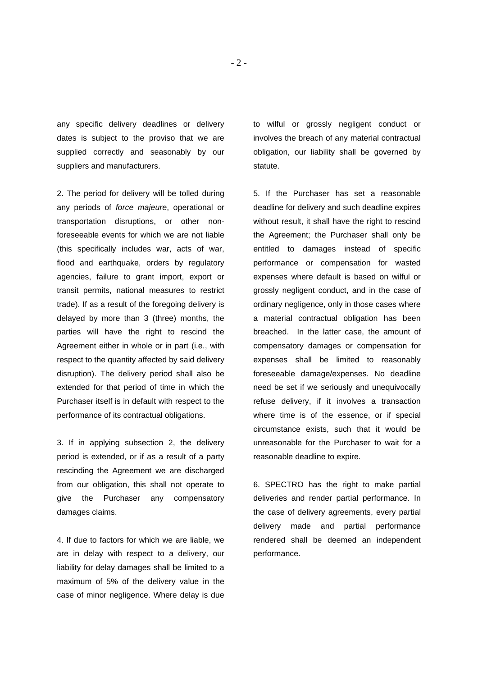any specific delivery deadlines or delivery dates is subject to the proviso that we are supplied correctly and seasonably by our suppliers and manufacturers.

2. The period for delivery will be tolled during any periods of *force majeure*, operational or transportation disruptions, or other nonforeseeable events for which we are not liable (this specifically includes war, acts of war, flood and earthquake, orders by regulatory agencies, failure to grant import, export or transit permits, national measures to restrict trade). If as a result of the foregoing delivery is delayed by more than 3 (three) months, the parties will have the right to rescind the Agreement either in whole or in part (i.e., with respect to the quantity affected by said delivery disruption). The delivery period shall also be extended for that period of time in which the Purchaser itself is in default with respect to the performance of its contractual obligations.

3. If in applying subsection 2, the delivery period is extended, or if as a result of a party rescinding the Agreement we are discharged from our obligation, this shall not operate to give the Purchaser any compensatory damages claims.

4. If due to factors for which we are liable, we are in delay with respect to a delivery, our liability for delay damages shall be limited to a maximum of 5% of the delivery value in the case of minor negligence. Where delay is due

to wilful or grossly negligent conduct or involves the breach of any material contractual obligation, our liability shall be governed by statute.

5. If the Purchaser has set a reasonable deadline for delivery and such deadline expires without result, it shall have the right to rescind the Agreement; the Purchaser shall only be entitled to damages instead of specific performance or compensation for wasted expenses where default is based on wilful or grossly negligent conduct, and in the case of ordinary negligence, only in those cases where a material contractual obligation has been breached. In the latter case, the amount of compensatory damages or compensation for expenses shall be limited to reasonably foreseeable damage/expenses. No deadline need be set if we seriously and unequivocally refuse delivery, if it involves a transaction where time is of the essence, or if special circumstance exists, such that it would be unreasonable for the Purchaser to wait for a reasonable deadline to expire.

6. SPECTRO has the right to make partial deliveries and render partial performance. In the case of delivery agreements, every partial delivery made and partial performance rendered shall be deemed an independent performance.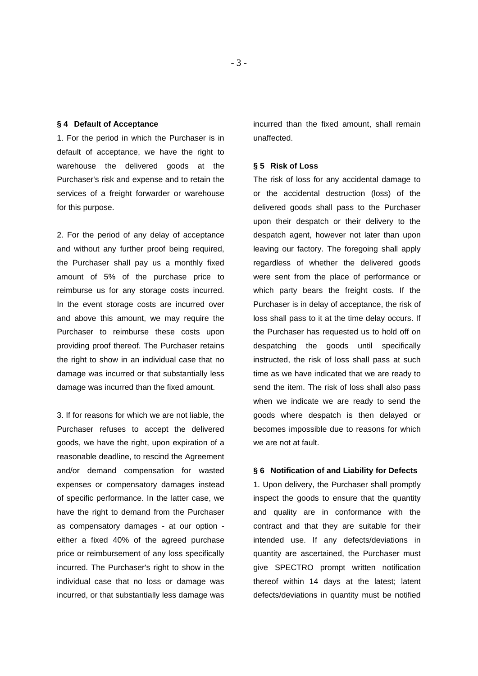#### **§ 4 Default of Acceptance**

1. For the period in which the Purchaser is in default of acceptance, we have the right to warehouse the delivered goods at the Purchaser's risk and expense and to retain the services of a freight forwarder or warehouse for this purpose.

2. For the period of any delay of acceptance and without any further proof being required, the Purchaser shall pay us a monthly fixed amount of 5% of the purchase price to reimburse us for any storage costs incurred. In the event storage costs are incurred over and above this amount, we may require the Purchaser to reimburse these costs upon providing proof thereof. The Purchaser retains the right to show in an individual case that no damage was incurred or that substantially less damage was incurred than the fixed amount.

3. If for reasons for which we are not liable, the Purchaser refuses to accept the delivered goods, we have the right, upon expiration of a reasonable deadline, to rescind the Agreement and/or demand compensation for wasted expenses or compensatory damages instead of specific performance. In the latter case, we have the right to demand from the Purchaser as compensatory damages - at our option either a fixed 40% of the agreed purchase price or reimbursement of any loss specifically incurred. The Purchaser's right to show in the individual case that no loss or damage was incurred, or that substantially less damage was incurred than the fixed amount, shall remain unaffected.

#### **§ 5 Risk of Loss**

The risk of loss for any accidental damage to or the accidental destruction (loss) of the delivered goods shall pass to the Purchaser upon their despatch or their delivery to the despatch agent, however not later than upon leaving our factory. The foregoing shall apply regardless of whether the delivered goods were sent from the place of performance or which party bears the freight costs. If the Purchaser is in delay of acceptance, the risk of loss shall pass to it at the time delay occurs. If the Purchaser has requested us to hold off on despatching the goods until specifically instructed, the risk of loss shall pass at such time as we have indicated that we are ready to send the item. The risk of loss shall also pass when we indicate we are ready to send the goods where despatch is then delayed or becomes impossible due to reasons for which we are not at fault.

## **§ 6 Notification of and Liability for Defects**

1. Upon delivery, the Purchaser shall promptly inspect the goods to ensure that the quantity and quality are in conformance with the contract and that they are suitable for their intended use. If any defects/deviations in quantity are ascertained, the Purchaser must give SPECTRO prompt written notification thereof within 14 days at the latest; latent defects/deviations in quantity must be notified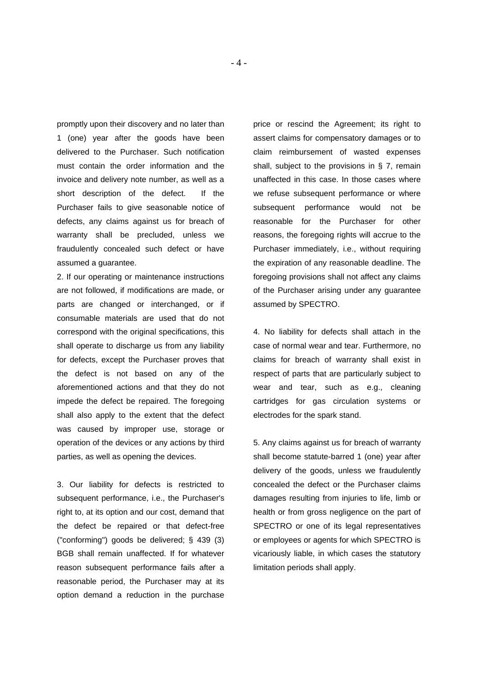promptly upon their discovery and no later than 1 (one) year after the goods have been delivered to the Purchaser. Such notification must contain the order information and the invoice and delivery note number, as well as a short description of the defect. If the Purchaser fails to give seasonable notice of defects, any claims against us for breach of warranty shall be precluded, unless we fraudulently concealed such defect or have assumed a guarantee.

2. If our operating or maintenance instructions are not followed, if modifications are made, or parts are changed or interchanged, or if consumable materials are used that do not correspond with the original specifications, this shall operate to discharge us from any liability for defects, except the Purchaser proves that the defect is not based on any of the aforementioned actions and that they do not impede the defect be repaired. The foregoing shall also apply to the extent that the defect was caused by improper use, storage or operation of the devices or any actions by third parties, as well as opening the devices.

3. Our liability for defects is restricted to subsequent performance, i.e., the Purchaser's right to, at its option and our cost, demand that the defect be repaired or that defect-free ("conforming") goods be delivered; § 439 (3) BGB shall remain unaffected. If for whatever reason subsequent performance fails after a reasonable period, the Purchaser may at its option demand a reduction in the purchase

price or rescind the Agreement; its right to assert claims for compensatory damages or to claim reimbursement of wasted expenses shall, subject to the provisions in § 7, remain unaffected in this case. In those cases where we refuse subsequent performance or where subsequent performance would not be reasonable for the Purchaser for other reasons, the foregoing rights will accrue to the Purchaser immediately, i.e., without requiring the expiration of any reasonable deadline. The foregoing provisions shall not affect any claims of the Purchaser arising under any guarantee assumed by SPECTRO.

4. No liability for defects shall attach in the case of normal wear and tear. Furthermore, no claims for breach of warranty shall exist in respect of parts that are particularly subject to wear and tear, such as e.g., cleaning cartridges for gas circulation systems or electrodes for the spark stand.

5. Any claims against us for breach of warranty shall become statute-barred 1 (one) year after delivery of the goods, unless we fraudulently concealed the defect or the Purchaser claims damages resulting from injuries to life, limb or health or from gross negligence on the part of SPECTRO or one of its legal representatives or employees or agents for which SPECTRO is vicariously liable, in which cases the statutory limitation periods shall apply.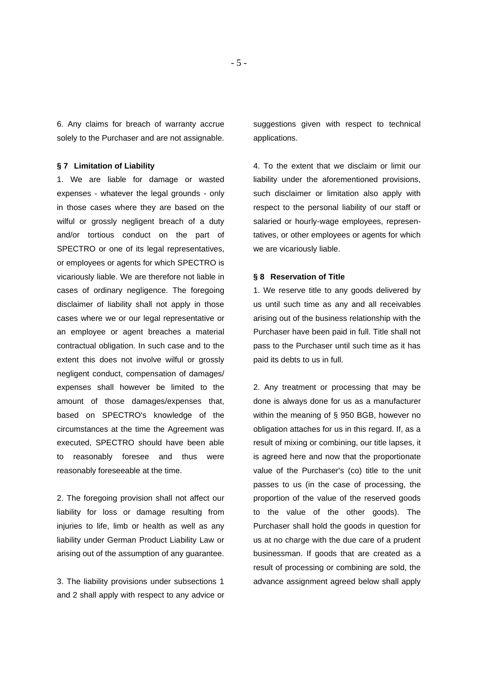6. Any claims for breach of warranty accrue solely to the Purchaser and are not assignable.

#### **§ 7 Limitation of Liability**

1. We are liable for damage or wasted expenses - whatever the legal grounds - only in those cases where they are based on the wilful or grossly negligent breach of a duty and/or tortious conduct on the part of SPECTRO or one of its legal representatives, or employees or agents for which SPECTRO is vicariously liable. We are therefore not liable in cases of ordinary negligence. The foregoing disclaimer of liability shall not apply in those cases where we or our legal representative or an employee or agent breaches a material contractual obligation. In such case and to the extent this does not involve wilful or grossly negligent conduct, compensation of damages/ expenses shall however be limited to the amount of those damages/expenses that, based on SPECTRO's knowledge of the circumstances at the time the Agreement was executed, SPECTRO should have been able to reasonably foresee and thus were reasonably foreseeable at the time.

2. The foregoing provision shall not affect our liability for loss or damage resulting from injuries to life, limb or health as well as any liability under German Product Liability Law or arising out of the assumption of any guarantee.

3. The liability provisions under subsections 1 and 2 shall apply with respect to any advice or suggestions given with respect to technical applications.

4. To the extent that we disclaim or limit our liability under the aforementioned provisions, such disclaimer or limitation also apply with respect to the personal liability of our staff or salaried or hourly-wage employees, representatives, or other employees or agents for which we are vicariously liable.

#### **§ 8 Reservation of Title**

1. We reserve title to any goods delivered by us until such time as any and all receivables arising out of the business relationship with the Purchaser have been paid in full. Title shall not pass to the Purchaser until such time as it has paid its debts to us in full.

2. Any treatment or processing that may be done is always done for us as a manufacturer within the meaning of § 950 BGB, however no obligation attaches for us in this regard. If, as a result of mixing or combining, our title lapses, it is agreed here and now that the proportionate value of the Purchaser's (co) title to the unit passes to us (in the case of processing, the proportion of the value of the reserved goods to the value of the other goods). The Purchaser shall hold the goods in question for us at no charge with the due care of a prudent businessman. If goods that are created as a result of processing or combining are sold, the advance assignment agreed below shall apply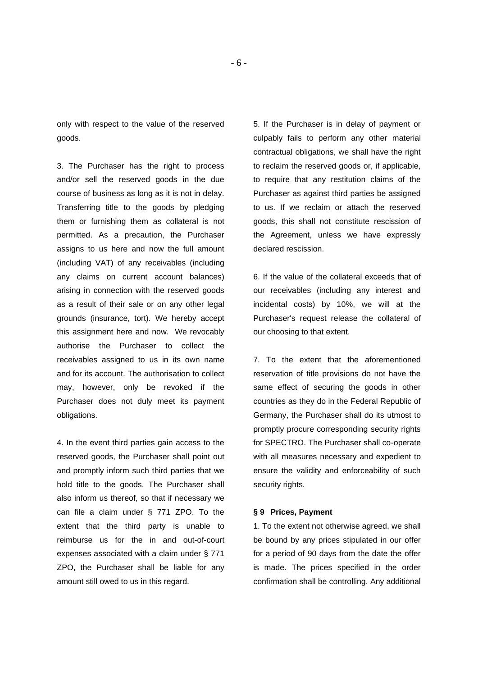only with respect to the value of the reserved goods.

3. The Purchaser has the right to process and/or sell the reserved goods in the due course of business as long as it is not in delay. Transferring title to the goods by pledging them or furnishing them as collateral is not permitted. As a precaution, the Purchaser assigns to us here and now the full amount (including VAT) of any receivables (including any claims on current account balances) arising in connection with the reserved goods as a result of their sale or on any other legal grounds (insurance, tort). We hereby accept this assignment here and now. We revocably authorise the Purchaser to collect the receivables assigned to us in its own name and for its account. The authorisation to collect may, however, only be revoked if the Purchaser does not duly meet its payment obligations.

4. In the event third parties gain access to the reserved goods, the Purchaser shall point out and promptly inform such third parties that we hold title to the goods. The Purchaser shall also inform us thereof, so that if necessary we can file a claim under § 771 ZPO. To the extent that the third party is unable to reimburse us for the in and out-of-court expenses associated with a claim under § 771 ZPO, the Purchaser shall be liable for any amount still owed to us in this regard.

5. If the Purchaser is in delay of payment or culpably fails to perform any other material contractual obligations, we shall have the right to reclaim the reserved goods or, if applicable, to require that any restitution claims of the Purchaser as against third parties be assigned to us. If we reclaim or attach the reserved goods, this shall not constitute rescission of the Agreement, unless we have expressly declared rescission.

6. If the value of the collateral exceeds that of our receivables (including any interest and incidental costs) by 10%, we will at the Purchaser's request release the collateral of our choosing to that extent.

7. To the extent that the aforementioned reservation of title provisions do not have the same effect of securing the goods in other countries as they do in the Federal Republic of Germany, the Purchaser shall do its utmost to promptly procure corresponding security rights for SPECTRO. The Purchaser shall co-operate with all measures necessary and expedient to ensure the validity and enforceability of such security rights.

## **§ 9 Prices, Payment**

1. To the extent not otherwise agreed, we shall be bound by any prices stipulated in our offer for a period of 90 days from the date the offer is made. The prices specified in the order confirmation shall be controlling. Any additional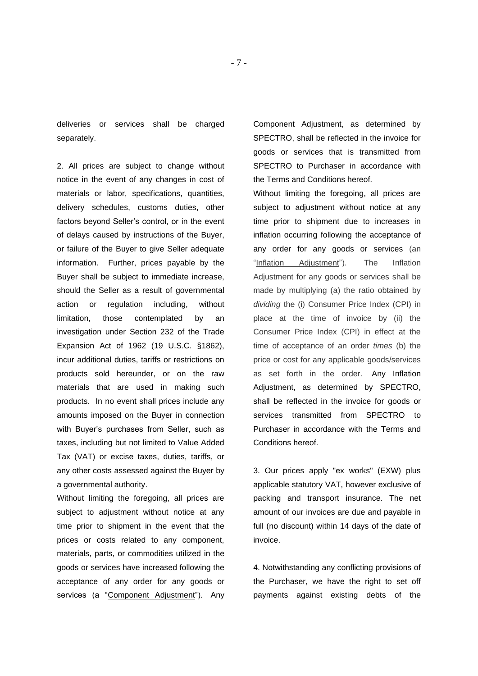deliveries or services shall be charged separately.

2. All prices are subject to change without notice in the event of any changes in cost of materials or labor, specifications, quantities, delivery schedules, customs duties, other factors beyond Seller's control, or in the event of delays caused by instructions of the Buyer, or failure of the Buyer to give Seller adequate information. Further, prices payable by the Buyer shall be subject to immediate increase, should the Seller as a result of governmental action or regulation including, without limitation, those contemplated by an investigation under Section 232 of the Trade Expansion Act of 1962 (19 U.S.C. §1862), incur additional duties, tariffs or restrictions on products sold hereunder, or on the raw materials that are used in making such products. In no event shall prices include any amounts imposed on the Buyer in connection with Buyer's purchases from Seller, such as taxes, including but not limited to Value Added Tax (VAT) or excise taxes, duties, tariffs, or any other costs assessed against the Buyer by a governmental authority.

Without limiting the foregoing, all prices are subject to adjustment without notice at any time prior to shipment in the event that the prices or costs related to any component, materials, parts, or commodities utilized in the goods or services have increased following the acceptance of any order for any goods or services (a "Component Adjustment"). Anv Component Adjustment, as determined by SPECTRO, shall be reflected in the invoice for goods or services that is transmitted from SPECTRO to Purchaser in accordance with the Terms and Conditions hereof.

Without limiting the foregoing, all prices are subject to adjustment without notice at any time prior to shipment due to increases in inflation occurring following the acceptance of any order for any goods or services (an "Inflation Adjustment"). The Inflation Adjustment for any goods or services shall be made by multiplying (a) the ratio obtained by *dividing* the (i) Consumer Price Index (CPI) in place at the time of invoice by (ii) the Consumer Price Index (CPI) in effect at the time of acceptance of an order *times* (b) the price or cost for any applicable goods/services as set forth in the order. Any Inflation Adjustment, as determined by SPECTRO, shall be reflected in the invoice for goods or services transmitted from SPECTRO to Purchaser in accordance with the Terms and Conditions hereof.

3. Our prices apply "ex works" (EXW) plus applicable statutory VAT, however exclusive of packing and transport insurance. The net amount of our invoices are due and payable in full (no discount) within 14 days of the date of invoice.

4. Notwithstanding any conflicting provisions of the Purchaser, we have the right to set off payments against existing debts of the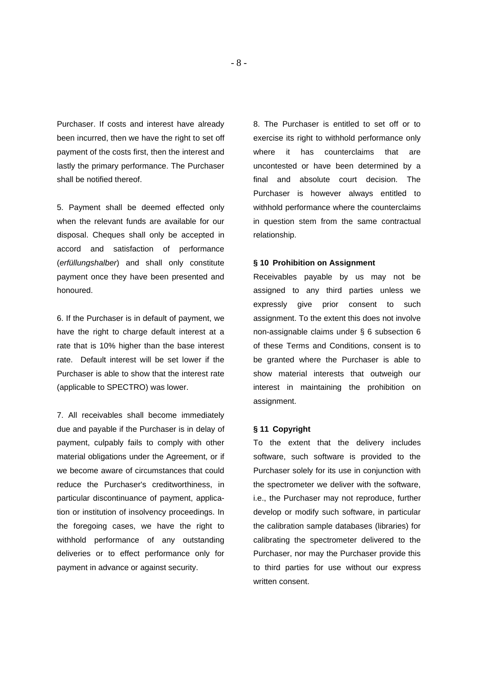Purchaser. If costs and interest have already been incurred, then we have the right to set off payment of the costs first, then the interest and lastly the primary performance. The Purchaser shall be notified thereof.

5. Payment shall be deemed effected only when the relevant funds are available for our disposal. Cheques shall only be accepted in accord and satisfaction of performance (*erfüllungshalber*) and shall only constitute payment once they have been presented and honoured.

6. If the Purchaser is in default of payment, we have the right to charge default interest at a rate that is 10% higher than the base interest rate. Default interest will be set lower if the Purchaser is able to show that the interest rate (applicable to SPECTRO) was lower.

7. All receivables shall become immediately due and payable if the Purchaser is in delay of payment, culpably fails to comply with other material obligations under the Agreement, or if we become aware of circumstances that could reduce the Purchaser's creditworthiness, in particular discontinuance of payment, application or institution of insolvency proceedings. In the foregoing cases, we have the right to withhold performance of any outstanding deliveries or to effect performance only for payment in advance or against security.

8. The Purchaser is entitled to set off or to exercise its right to withhold performance only where it has counterclaims that are uncontested or have been determined by a final and absolute court decision. The Purchaser is however always entitled to withhold performance where the counterclaims in question stem from the same contractual relationship.

### **§ 10 Prohibition on Assignment**

Receivables payable by us may not be assigned to any third parties unless we expressly give prior consent to such assignment. To the extent this does not involve non-assignable claims under § 6 subsection 6 of these Terms and Conditions, consent is to be granted where the Purchaser is able to show material interests that outweigh our interest in maintaining the prohibition on assignment.

#### **§ 11 Copyright**

To the extent that the delivery includes software, such software is provided to the Purchaser solely for its use in conjunction with the spectrometer we deliver with the software, i.e., the Purchaser may not reproduce, further develop or modify such software, in particular the calibration sample databases (libraries) for calibrating the spectrometer delivered to the Purchaser, nor may the Purchaser provide this to third parties for use without our express written consent.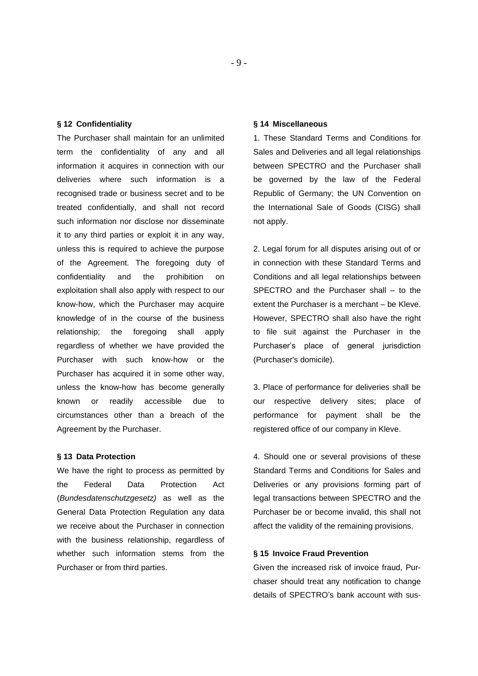#### **§ 12 Confidentiality**

The Purchaser shall maintain for an unlimited term the confidentiality of any and all information it acquires in connection with our deliveries where such information is a recognised trade or business secret and to be treated confidentially, and shall not record such information nor disclose nor disseminate it to any third parties or exploit it in any way, unless this is required to achieve the purpose of the Agreement. The foregoing duty of confidentiality and the prohibition on exploitation shall also apply with respect to our know-how, which the Purchaser may acquire knowledge of in the course of the business relationship; the foregoing shall apply regardless of whether we have provided the Purchaser with such know-how or the Purchaser has acquired it in some other way, unless the know-how has become generally known or readily accessible due to circumstances other than a breach of the Agreement by the Purchaser.

#### **§ 13 Data Protection**

We have the right to process as permitted by the Federal Data Protection Act (*Bundesdatenschutzgesetz)* as well as the General Data Protection Regulation any data we receive about the Purchaser in connection with the business relationship, regardless of whether such information stems from the Purchaser or from third parties.

#### **§ 14 Miscellaneous**

1. These Standard Terms and Conditions for Sales and Deliveries and all legal relationships between SPECTRO and the Purchaser shall be governed by the law of the Federal Republic of Germany; the UN Convention on the International Sale of Goods (CISG) shall not apply.

2. Legal forum for all disputes arising out of or in connection with these Standard Terms and Conditions and all legal relationships between SPECTRO and the Purchaser shall – to the extent the Purchaser is a merchant – be Kleve. However, SPECTRO shall also have the right to file suit against the Purchaser in the Purchaser's place of general jurisdiction (Purchaser's domicile).

3. Place of performance for deliveries shall be our respective delivery sites; place of performance for payment shall be the registered office of our company in Kleve.

4. Should one or several provisions of these Standard Terms and Conditions for Sales and Deliveries or any provisions forming part of legal transactions between SPECTRO and the Purchaser be or become invalid, this shall not affect the validity of the remaining provisions.

## **§ 15 Invoice Fraud Prevention**

Given the increased risk of invoice fraud, Purchaser should treat any notification to change details of SPECTRO's bank account with sus